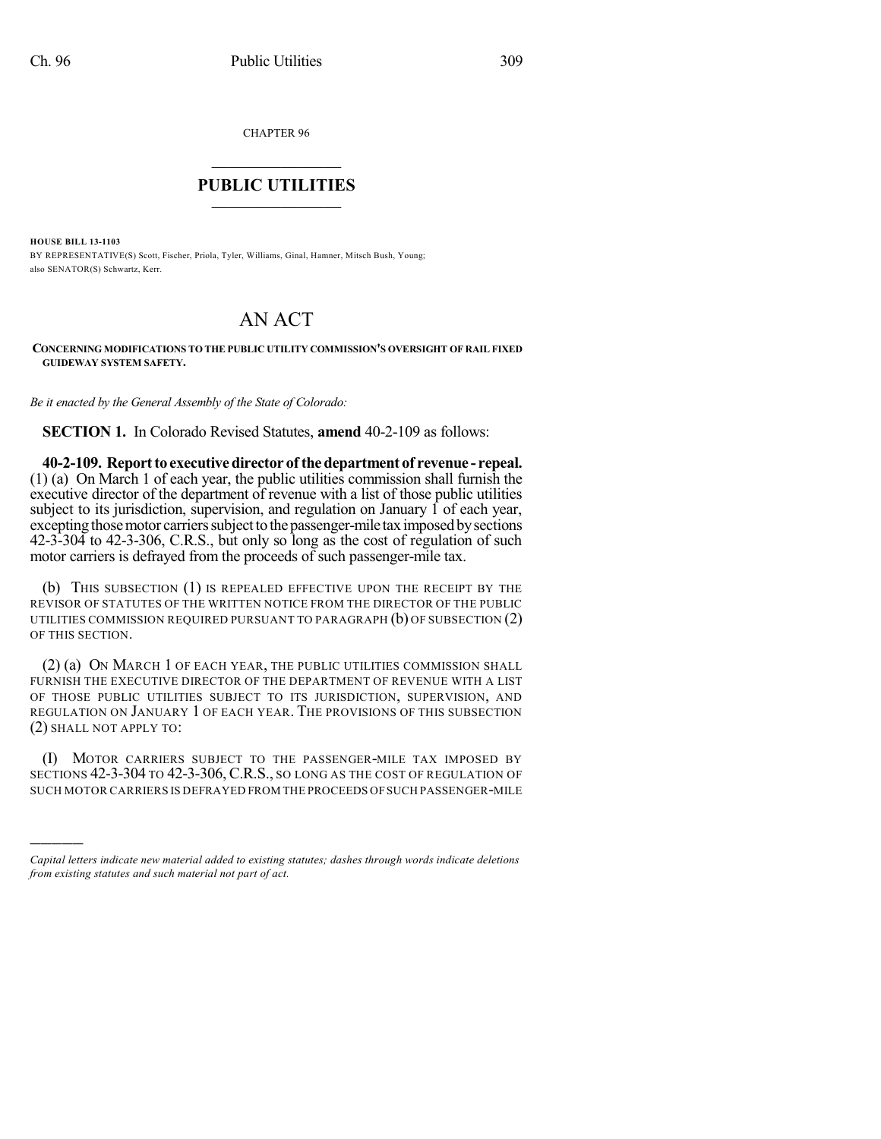CHAPTER 96

## $\mathcal{L}_\text{max}$  . The set of the set of the set of the set of the set of the set of the set of the set of the set of the set of the set of the set of the set of the set of the set of the set of the set of the set of the set **PUBLIC UTILITIES** \_\_\_\_\_\_\_\_\_\_\_\_\_\_\_

**HOUSE BILL 13-1103**

)))))

BY REPRESENTATIVE(S) Scott, Fischer, Priola, Tyler, Williams, Ginal, Hamner, Mitsch Bush, Young; also SENATOR(S) Schwartz, Kerr.

## AN ACT

## **CONCERNING MODIFICATIONS TO THE PUBLIC UTILITY COMMISSION'S OVERSIGHT OF RAIL FIXED GUIDEWAY SYSTEM SAFETY.**

*Be it enacted by the General Assembly of the State of Colorado:*

**SECTION 1.** In Colorado Revised Statutes, **amend** 40-2-109 as follows:

**40-2-109. Reportto executivedirector of thedepartment of revenue - repeal.** (1) (a) On March 1 of each year, the public utilities commission shall furnish the executive director of the department of revenue with a list of those public utilities subject to its jurisdiction, supervision, and regulation on January 1 of each year, excepting those motor carriers subject to the passenger-mile tax imposed by sections 42-3-304 to 42-3-306, C.R.S., but only so long as the cost of regulation of such motor carriers is defrayed from the proceeds of such passenger-mile tax.

(b) THIS SUBSECTION (1) IS REPEALED EFFECTIVE UPON THE RECEIPT BY THE REVISOR OF STATUTES OF THE WRITTEN NOTICE FROM THE DIRECTOR OF THE PUBLIC UTILITIES COMMISSION REQUIRED PURSUANT TO PARAGRAPH  $(b)$  OF SUBSECTION  $(2)$ OF THIS SECTION.

(2) (a) ON MARCH 1 OF EACH YEAR, THE PUBLIC UTILITIES COMMISSION SHALL FURNISH THE EXECUTIVE DIRECTOR OF THE DEPARTMENT OF REVENUE WITH A LIST OF THOSE PUBLIC UTILITIES SUBJECT TO ITS JURISDICTION, SUPERVISION, AND REGULATION ON JANUARY 1 OF EACH YEAR. THE PROVISIONS OF THIS SUBSECTION (2) SHALL NOT APPLY TO:

(I) MOTOR CARRIERS SUBJECT TO THE PASSENGER-MILE TAX IMPOSED BY SECTIONS 42-3-304 TO 42-3-306, C.R.S., SO LONG AS THE COST OF REGULATION OF SUCH MOTOR CARRIERS IS DEFRAYED FROM THE PROCEEDS OFSUCH PASSENGER-MILE

*Capital letters indicate new material added to existing statutes; dashes through words indicate deletions from existing statutes and such material not part of act.*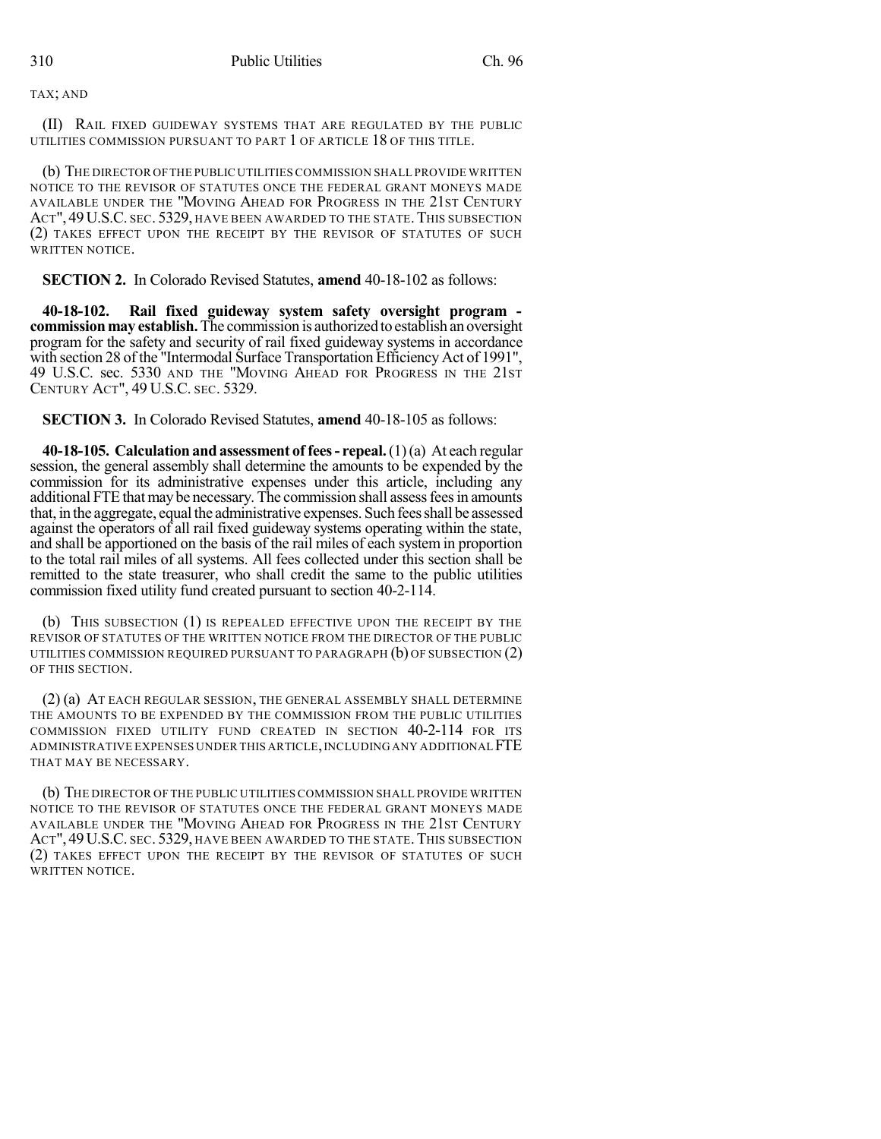TAX; AND

(II) RAIL FIXED GUIDEWAY SYSTEMS THAT ARE REGULATED BY THE PUBLIC UTILITIES COMMISSION PURSUANT TO PART 1 OF ARTICLE 18 OF THIS TITLE.

(b) THE DIRECTOR OFTHE PUBLIC UTILITIES COMMISSION SHALL PROVIDE WRITTEN NOTICE TO THE REVISOR OF STATUTES ONCE THE FEDERAL GRANT MONEYS MADE AVAILABLE UNDER THE "MOVING AHEAD FOR PROGRESS IN THE 21ST CENTURY ACT", 49 U.S.C. SEC. 5329, HAVE BEEN AWARDED TO THE STATE. THIS SUBSECTION (2) TAKES EFFECT UPON THE RECEIPT BY THE REVISOR OF STATUTES OF SUCH WRITTEN NOTICE.

**SECTION 2.** In Colorado Revised Statutes, **amend** 40-18-102 as follows:

**40-18-102. Rail fixed guideway system safety oversight program commissionmay establish.** The commission is authorized to establish an oversight program for the safety and security of rail fixed guideway systems in accordance with section 28 of the "Intermodal Surface Transportation Efficiency Act of 1991", 49 U.S.C. sec. 5330 AND THE "MOVING AHEAD FOR PROGRESS IN THE 21ST CENTURY ACT", 49 U.S.C. SEC. 5329.

**SECTION 3.** In Colorado Revised Statutes, **amend** 40-18-105 as follows:

**40-18-105. Calculation and assessment of fees- repeal.**(1)(a) At each regular session, the general assembly shall determine the amounts to be expended by the commission for its administrative expenses under this article, including any additional FTE that may be necessary. The commission shall assess fees in amounts that, in the aggregate, equal the administrative expenses. Such fees shall be assessed against the operators of all rail fixed guideway systems operating within the state, and shall be apportioned on the basis of the rail miles of each system in proportion to the total rail miles of all systems. All fees collected under this section shall be remitted to the state treasurer, who shall credit the same to the public utilities commission fixed utility fund created pursuant to section 40-2-114.

(b) THIS SUBSECTION (1) IS REPEALED EFFECTIVE UPON THE RECEIPT BY THE REVISOR OF STATUTES OF THE WRITTEN NOTICE FROM THE DIRECTOR OF THE PUBLIC UTILITIES COMMISSION REQUIRED PURSUANT TO PARAGRAPH  $(b)$  OF SUBSECTION  $(2)$ OF THIS SECTION.

(2) (a) AT EACH REGULAR SESSION, THE GENERAL ASSEMBLY SHALL DETERMINE THE AMOUNTS TO BE EXPENDED BY THE COMMISSION FROM THE PUBLIC UTILITIES COMMISSION FIXED UTILITY FUND CREATED IN SECTION 40-2-114 FOR ITS ADMINISTRATIVE EXPENSES UNDER THIS ARTICLE,INCLUDING ANY ADDITIONAL FTE THAT MAY BE NECESSARY.

(b) THE DIRECTOR OF THE PUBLIC UTILITIES COMMISSION SHALL PROVIDE WRITTEN NOTICE TO THE REVISOR OF STATUTES ONCE THE FEDERAL GRANT MONEYS MADE AVAILABLE UNDER THE "MOVING AHEAD FOR PROGRESS IN THE 21ST CENTURY ACT", 49 U.S.C. SEC. 5329, HAVE BEEN AWARDED TO THE STATE. THIS SUBSECTION (2) TAKES EFFECT UPON THE RECEIPT BY THE REVISOR OF STATUTES OF SUCH WRITTEN NOTICE.